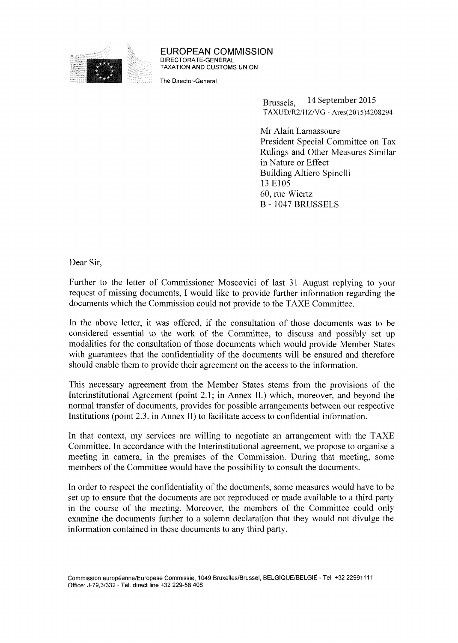

EUROPEAN COMMISSION DIRECTORATE-GENERAL TAXATION AND CUSTOMS UNION

The Director-General

Brussels, TAXUD/R2/HZ/VG - Ares(2015)4208294 14 September 2015

Mr Alain Lamassoure President Special Committee on Tax Rulings and Other Measures Similar in Nature or Effect Building Altiero Spinelli 13 E105 60, rue Wiertz В - 1047 BRUSSELS

Dear Sir,

Further to the letter of Commissioner Moscovici of last 31 August replying to your request of missing documents, I would like to provide further information regarding the documents which the Commission could not provide to the TAXE Committee.

In the above letter, it was offered, if the consultation of those documents was to be considered essential to the work of the Committee, to discuss and possibly set up modalities for the consultation of those documents which would provide Member States with guarantees that the confidentiality of the documents will be ensured and therefore should enable them to provide their agreement on the access to the information.

This necessary agreement from the Member States stems from the provisions of the Interinstitutional Agreement (point 2.1; in Annex II.) which, moreover, and beyond the normal transfer of documents, provides for possible arrangements between our respective Institutions (point 2.3. in Annex II) to facilitate access to confidential information.

In that context, my services are willing to negotiate an arrangement with the TAXE Committee. In accordance with the Interinstitutional agreement, we propose to organise a meeting in camera, in the premises of the Commission. During that meeting, some members of the Committee would have the possibility to consult the documents.

In order to respect the confidentiality of the documents, some measures would have to be set up to ensure that the documents are not reproduced or made available to a third party in the course of the meeting. Moreover, the members of the Committee could only examine the documents further to a solemn declaration that they would not divulge the information contained in these documents to any third party.